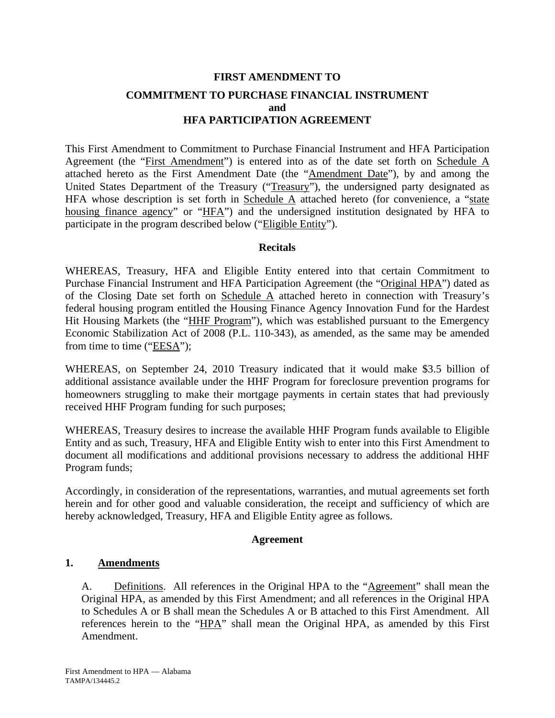# **FIRST AMENDMENT TO COMMITMENT TO PURCHASE FINANCIAL INSTRUMENT and HFA PARTICIPATION AGREEMENT**

This First Amendment to Commitment to Purchase Financial Instrument and HFA Participation Agreement (the "First Amendment") is entered into as of the date set forth on Schedule A attached hereto as the First Amendment Date (the "Amendment Date"), by and among the United States Department of the Treasury ("Treasury"), the undersigned party designated as HFA whose description is set forth in Schedule  $\overline{A}$  attached hereto (for convenience, a "state housing finance agency" or "HFA") and the undersigned institution designated by HFA to participate in the program described below ("Eligible Entity").

# **Recitals**

WHEREAS, Treasury, HFA and Eligible Entity entered into that certain Commitment to Purchase Financial Instrument and HFA Participation Agreement (the "Original HPA") dated as of the Closing Date set forth on Schedule A attached hereto in connection with Treasury's federal housing program entitled the Housing Finance Agency Innovation Fund for the Hardest Hit Housing Markets (the "HHF Program"), which was established pursuant to the Emergency Economic Stabilization Act of 2008 (P.L. 110-343), as amended, as the same may be amended from time to time ("EESA");

WHEREAS, on September 24, 2010 Treasury indicated that it would make \$3.5 billion of additional assistance available under the HHF Program for foreclosure prevention programs for homeowners struggling to make their mortgage payments in certain states that had previously received HHF Program funding for such purposes;

WHEREAS, Treasury desires to increase the available HHF Program funds available to Eligible Entity and as such, Treasury, HFA and Eligible Entity wish to enter into this First Amendment to document all modifications and additional provisions necessary to address the additional HHF Program funds;

Accordingly, in consideration of the representations, warranties, and mutual agreements set forth herein and for other good and valuable consideration, the receipt and sufficiency of which are hereby acknowledged, Treasury, HFA and Eligible Entity agree as follows.

# **Agreement**

# **1. Amendments**

A. Definitions. All references in the Original HPA to the "Agreement" shall mean the Original HPA, as amended by this First Amendment; and all references in the Original HPA to Schedules A or B shall mean the Schedules A or B attached to this First Amendment. All references herein to the "HPA" shall mean the Original HPA, as amended by this First Amendment.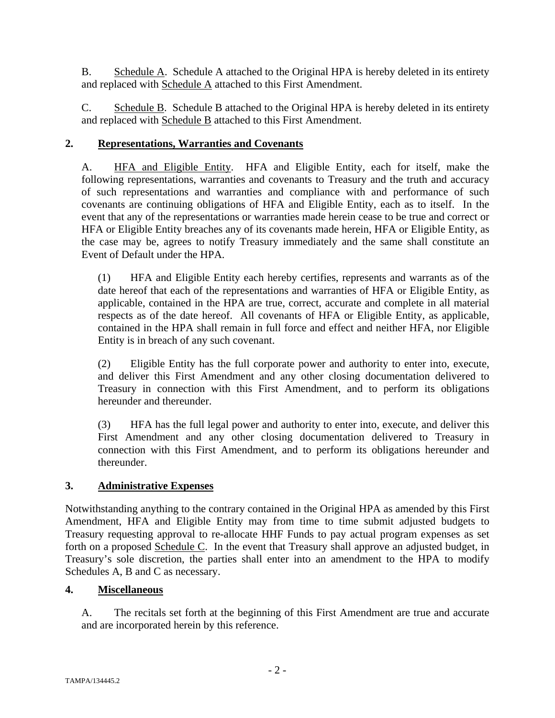B. Schedule A. Schedule A attached to the Original HPA is hereby deleted in its entirety and replaced with Schedule A attached to this First Amendment.

C. Schedule B. Schedule B attached to the Original HPA is hereby deleted in its entirety and replaced with **Schedule B** attached to this First Amendment.

# **2. Representations, Warranties and Covenants**

A. HFA and Eligible Entity. HFA and Eligible Entity, each for itself, make the following representations, warranties and covenants to Treasury and the truth and accuracy of such representations and warranties and compliance with and performance of such covenants are continuing obligations of HFA and Eligible Entity, each as to itself. In the event that any of the representations or warranties made herein cease to be true and correct or HFA or Eligible Entity breaches any of its covenants made herein, HFA or Eligible Entity, as the case may be, agrees to notify Treasury immediately and the same shall constitute an Event of Default under the HPA.

(1) HFA and Eligible Entity each hereby certifies, represents and warrants as of the date hereof that each of the representations and warranties of HFA or Eligible Entity, as applicable, contained in the HPA are true, correct, accurate and complete in all material respects as of the date hereof. All covenants of HFA or Eligible Entity, as applicable, contained in the HPA shall remain in full force and effect and neither HFA, nor Eligible Entity is in breach of any such covenant.

(2) Eligible Entity has the full corporate power and authority to enter into, execute, and deliver this First Amendment and any other closing documentation delivered to Treasury in connection with this First Amendment, and to perform its obligations hereunder and thereunder.

(3) HFA has the full legal power and authority to enter into, execute, and deliver this First Amendment and any other closing documentation delivered to Treasury in connection with this First Amendment, and to perform its obligations hereunder and thereunder.

# **3. Administrative Expenses**

Notwithstanding anything to the contrary contained in the Original HPA as amended by this First Amendment, HFA and Eligible Entity may from time to time submit adjusted budgets to Treasury requesting approval to re-allocate HHF Funds to pay actual program expenses as set forth on a proposed Schedule C. In the event that Treasury shall approve an adjusted budget, in Treasury's sole discretion, the parties shall enter into an amendment to the HPA to modify Schedules A, B and C as necessary.

# **4. Miscellaneous**

A. The recitals set forth at the beginning of this First Amendment are true and accurate and are incorporated herein by this reference.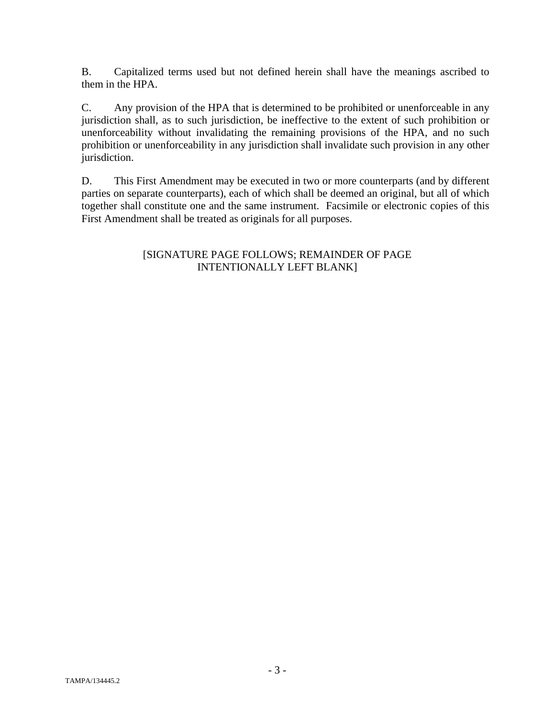B. Capitalized terms used but not defined herein shall have the meanings ascribed to them in the HPA.

C. Any provision of the HPA that is determined to be prohibited or unenforceable in any jurisdiction shall, as to such jurisdiction, be ineffective to the extent of such prohibition or unenforceability without invalidating the remaining provisions of the HPA, and no such prohibition or unenforceability in any jurisdiction shall invalidate such provision in any other jurisdiction.

D. This First Amendment may be executed in two or more counterparts (and by different parties on separate counterparts), each of which shall be deemed an original, but all of which together shall constitute one and the same instrument. Facsimile or electronic copies of this First Amendment shall be treated as originals for all purposes.

# [SIGNATURE PAGE FOLLOWS; REMAINDER OF PAGE INTENTIONALLY LEFT BLANK]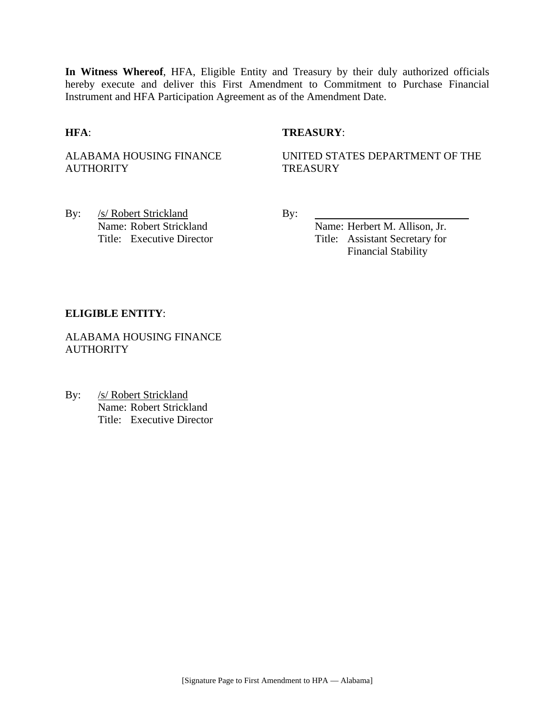**In Witness Whereof**, HFA, Eligible Entity and Treasury by their duly authorized officials hereby execute and deliver this First Amendment to Commitment to Purchase Financial Instrument and HFA Participation Agreement as of the Amendment Date.

# **HFA**: **TREASURY**:

ALABAMA HOUSING FINANCE **AUTHORITY** 

UNITED STATES DEPARTMENT OF THE **TREASURY** 

By: /s/ Robert Strickland By: Name: Robert Strickland Name: Herbert M. Allison, Jr.

Title: Executive Director Title: Assistant Secretary for Financial Stability

#### **ELIGIBLE ENTITY**:

ALABAMA HOUSING FINANCE **AUTHORITY** 

By: /s/ Robert Strickland Name: Robert Strickland Title: Executive Director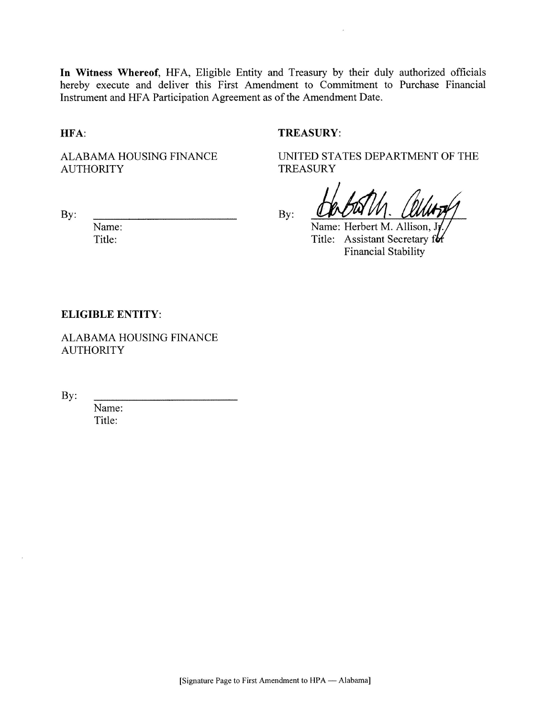In Witness Whereof, HFA, Eligible Entity and Treasury by their duly authorized officials hereby execute and deliver this First Amendment to Commitment to Purchase Financial Instrument and HFA Participation Agreement as of the Amendment Date.

HFA:

#### **TREASURY:**

ALABAMA HOUSING FINANCE **AUTHORITY** 

**TREASURY** 

UNITED STATES DEPARTMENT OF THE

By:

Name: Title:

By:

Name: Herbert M. Allison,

Title: Assistant Secretary for **Financial Stability** 

#### **ELIGIBLE ENTITY:**

ALABAMA HOUSING FINANCE **AUTHORITY** 

By:

Name: Title: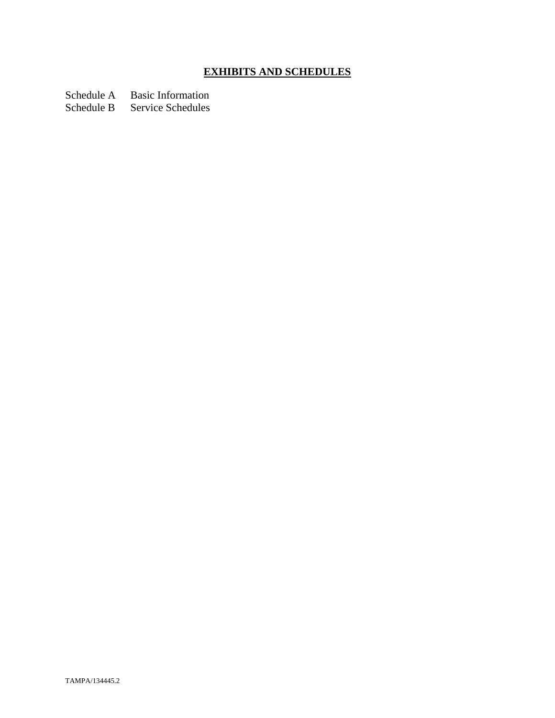# **EXHIBITS AND SCHEDULES**

Schedule A Basic Information<br>Schedule B Service Schedules

Service Schedules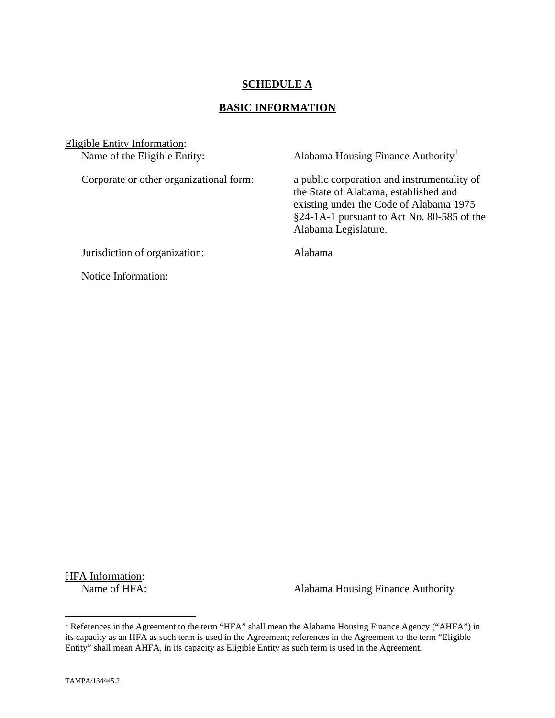# **SCHEDULE A**

## **BASIC INFORMATION**

Eligible Entity Information:<br>Name of the Eligible Entity:

Alabama Housing Finance Authority<sup>1</sup>

Corporate or other organizational form: a public corporation and instrumentality of the State of Alabama, established and existing under the Code of Alabama 1975 §24-1A-1 pursuant to Act No. 80-585 of the Alabama Legislature.

Jurisdiction of organization: Alabama

Notice Information:

HFA Information:<br>Name of HFA:

Alabama Housing Finance Authority

<sup>&</sup>lt;sup>1</sup> References in the Agreement to the term "HFA" shall mean the Alabama Housing Finance Agency ("AHFA") in its capacity as an HFA as such term is used in the Agreement; references in the Agreement to the term "Eligible Entity" shall mean AHFA, in its capacity as Eligible Entity as such term is used in the Agreement.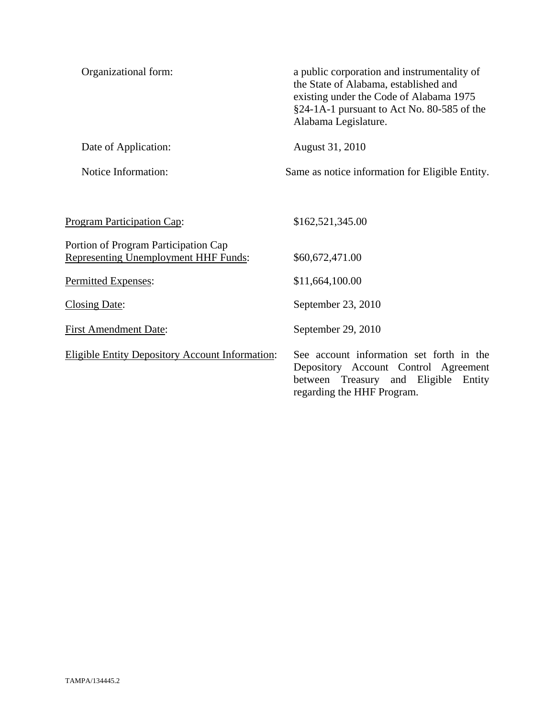| Organizational form:                                                                | a public corporation and instrumentality of<br>the State of Alabama, established and<br>existing under the Code of Alabama 1975<br>§24-1A-1 pursuant to Act No. 80-585 of the<br>Alabama Legislature. |
|-------------------------------------------------------------------------------------|-------------------------------------------------------------------------------------------------------------------------------------------------------------------------------------------------------|
| Date of Application:                                                                | August 31, 2010                                                                                                                                                                                       |
| Notice Information:                                                                 | Same as notice information for Eligible Entity.                                                                                                                                                       |
|                                                                                     |                                                                                                                                                                                                       |
| <b>Program Participation Cap:</b>                                                   | \$162,521,345.00                                                                                                                                                                                      |
| Portion of Program Participation Cap<br><b>Representing Unemployment HHF Funds:</b> | \$60,672,471.00                                                                                                                                                                                       |
| Permitted Expenses:                                                                 | \$11,664,100.00                                                                                                                                                                                       |
| <b>Closing Date:</b>                                                                | September 23, 2010                                                                                                                                                                                    |
| <b>First Amendment Date:</b>                                                        | September 29, 2010                                                                                                                                                                                    |
| <b>Eligible Entity Depository Account Information:</b>                              | See account information set forth in the<br>Depository Account Control Agreement<br>between Treasury and Eligible<br>Entity<br>regarding the HHF Program.                                             |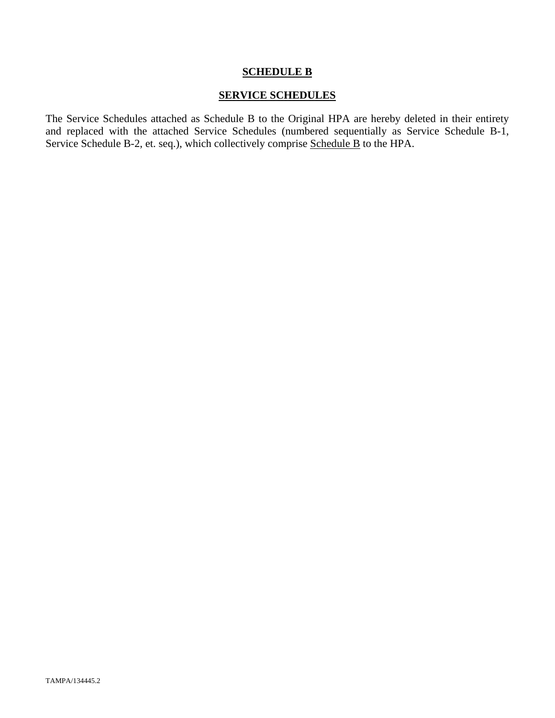## **SCHEDULE B**

# **SERVICE SCHEDULES**

The Service Schedules attached as Schedule B to the Original HPA are hereby deleted in their entirety and replaced with the attached Service Schedules (numbered sequentially as Service Schedule B-1, Service Schedule B-2, et. seq.), which collectively comprise Schedule B to the HPA.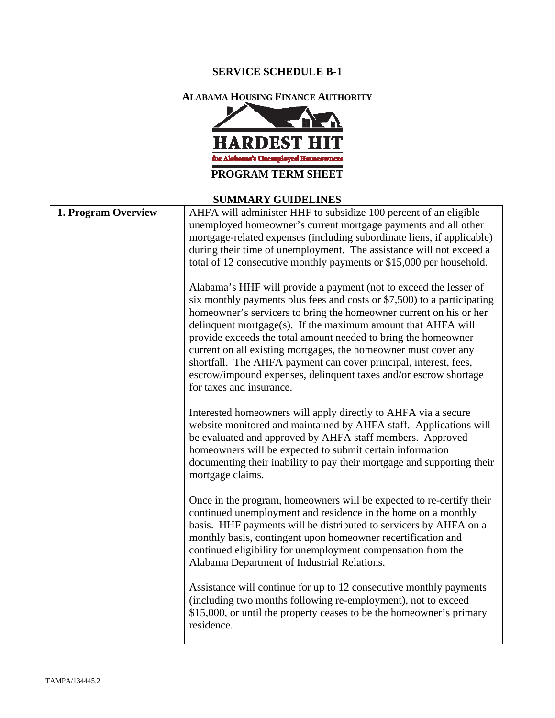# **SERVICE SCHEDULE B-1**

**ALABAMA HOUSING FINANCE AUTHORITY**



#### **SUMMARY GUIDELINES**

| 1. Program Overview | AHFA will administer HHF to subsidize 100 percent of an eligible<br>unemployed homeowner's current mortgage payments and all other<br>mortgage-related expenses (including subordinate liens, if applicable)<br>during their time of unemployment. The assistance will not exceed a<br>total of 12 consecutive monthly payments or \$15,000 per household.                                                                                                                                                                                                                                  |
|---------------------|---------------------------------------------------------------------------------------------------------------------------------------------------------------------------------------------------------------------------------------------------------------------------------------------------------------------------------------------------------------------------------------------------------------------------------------------------------------------------------------------------------------------------------------------------------------------------------------------|
|                     | Alabama's HHF will provide a payment (not to exceed the lesser of<br>six monthly payments plus fees and costs or \$7,500) to a participating<br>homeowner's servicers to bring the homeowner current on his or her<br>delinquent mortgage(s). If the maximum amount that AHFA will<br>provide exceeds the total amount needed to bring the homeowner<br>current on all existing mortgages, the homeowner must cover any<br>shortfall. The AHFA payment can cover principal, interest, fees,<br>escrow/impound expenses, delinquent taxes and/or escrow shortage<br>for taxes and insurance. |
|                     | Interested homeowners will apply directly to AHFA via a secure<br>website monitored and maintained by AHFA staff. Applications will<br>be evaluated and approved by AHFA staff members. Approved<br>homeowners will be expected to submit certain information<br>documenting their inability to pay their mortgage and supporting their<br>mortgage claims.                                                                                                                                                                                                                                 |
|                     | Once in the program, homeowners will be expected to re-certify their<br>continued unemployment and residence in the home on a monthly<br>basis. HHF payments will be distributed to servicers by AHFA on a<br>monthly basis, contingent upon homeowner recertification and<br>continued eligibility for unemployment compensation from the<br>Alabama Department of Industrial Relations.                                                                                                                                                                                                   |
|                     | Assistance will continue for up to 12 consecutive monthly payments<br>(including two months following re-employment), not to exceed<br>\$15,000, or until the property ceases to be the homeowner's primary<br>residence.                                                                                                                                                                                                                                                                                                                                                                   |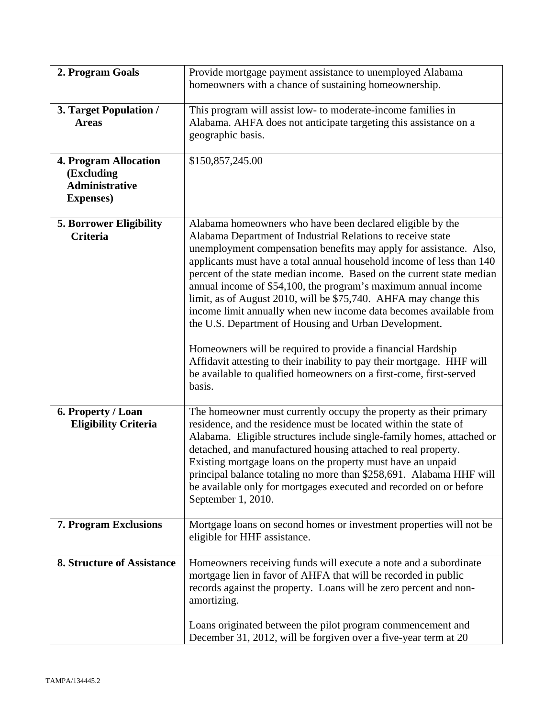| 2. Program Goals                                                                         | Provide mortgage payment assistance to unemployed Alabama<br>homeowners with a chance of sustaining homeownership.                                                                                                                                                                                                                                                                                                                                                                                                                                                                                                                                                                                                                                                                                                                            |
|------------------------------------------------------------------------------------------|-----------------------------------------------------------------------------------------------------------------------------------------------------------------------------------------------------------------------------------------------------------------------------------------------------------------------------------------------------------------------------------------------------------------------------------------------------------------------------------------------------------------------------------------------------------------------------------------------------------------------------------------------------------------------------------------------------------------------------------------------------------------------------------------------------------------------------------------------|
| 3. Target Population /<br><b>Areas</b>                                                   | This program will assist low- to moderate-income families in<br>Alabama. AHFA does not anticipate targeting this assistance on a<br>geographic basis.                                                                                                                                                                                                                                                                                                                                                                                                                                                                                                                                                                                                                                                                                         |
| <b>4. Program Allocation</b><br>(Excluding<br><b>Administrative</b><br><b>Expenses</b> ) | \$150,857,245.00                                                                                                                                                                                                                                                                                                                                                                                                                                                                                                                                                                                                                                                                                                                                                                                                                              |
| <b>5. Borrower Eligibility</b><br><b>Criteria</b>                                        | Alabama homeowners who have been declared eligible by the<br>Alabama Department of Industrial Relations to receive state<br>unemployment compensation benefits may apply for assistance. Also,<br>applicants must have a total annual household income of less than 140<br>percent of the state median income. Based on the current state median<br>annual income of \$54,100, the program's maximum annual income<br>limit, as of August 2010, will be \$75,740. AHFA may change this<br>income limit annually when new income data becomes available from<br>the U.S. Department of Housing and Urban Development.<br>Homeowners will be required to provide a financial Hardship<br>Affidavit attesting to their inability to pay their mortgage. HHF will<br>be available to qualified homeowners on a first-come, first-served<br>basis. |
| 6. Property / Loan<br><b>Eligibility Criteria</b>                                        | The homeowner must currently occupy the property as their primary<br>residence, and the residence must be located within the state of<br>Alabama. Eligible structures include single-family homes, attached or<br>detached, and manufactured housing attached to real property.<br>Existing mortgage loans on the property must have an unpaid<br>principal balance totaling no more than \$258,691. Alabama HHF will<br>be available only for mortgages executed and recorded on or before<br>September 1, 2010.                                                                                                                                                                                                                                                                                                                             |
| 7. Program Exclusions                                                                    | Mortgage loans on second homes or investment properties will not be<br>eligible for HHF assistance.                                                                                                                                                                                                                                                                                                                                                                                                                                                                                                                                                                                                                                                                                                                                           |
| 8. Structure of Assistance                                                               | Homeowners receiving funds will execute a note and a subordinate<br>mortgage lien in favor of AHFA that will be recorded in public<br>records against the property. Loans will be zero percent and non-<br>amortizing.                                                                                                                                                                                                                                                                                                                                                                                                                                                                                                                                                                                                                        |
|                                                                                          | Loans originated between the pilot program commencement and<br>December 31, 2012, will be forgiven over a five-year term at 20                                                                                                                                                                                                                                                                                                                                                                                                                                                                                                                                                                                                                                                                                                                |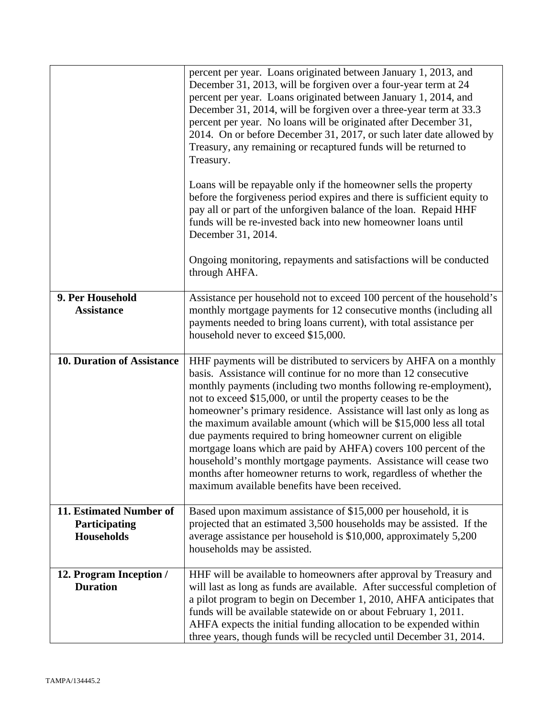|                                                               | percent per year. Loans originated between January 1, 2013, and<br>December 31, 2013, will be forgiven over a four-year term at 24<br>percent per year. Loans originated between January 1, 2014, and<br>December 31, 2014, will be forgiven over a three-year term at 33.3<br>percent per year. No loans will be originated after December 31,<br>2014. On or before December 31, 2017, or such later date allowed by<br>Treasury, any remaining or recaptured funds will be returned to<br>Treasury.                                                                                                                                                                                                                                                   |
|---------------------------------------------------------------|----------------------------------------------------------------------------------------------------------------------------------------------------------------------------------------------------------------------------------------------------------------------------------------------------------------------------------------------------------------------------------------------------------------------------------------------------------------------------------------------------------------------------------------------------------------------------------------------------------------------------------------------------------------------------------------------------------------------------------------------------------|
|                                                               | Loans will be repayable only if the homeowner sells the property<br>before the forgiveness period expires and there is sufficient equity to<br>pay all or part of the unforgiven balance of the loan. Repaid HHF<br>funds will be re-invested back into new homeowner loans until<br>December 31, 2014.                                                                                                                                                                                                                                                                                                                                                                                                                                                  |
|                                                               | Ongoing monitoring, repayments and satisfactions will be conducted<br>through AHFA.                                                                                                                                                                                                                                                                                                                                                                                                                                                                                                                                                                                                                                                                      |
| 9. Per Household<br><b>Assistance</b>                         | Assistance per household not to exceed 100 percent of the household's<br>monthly mortgage payments for 12 consecutive months (including all<br>payments needed to bring loans current), with total assistance per<br>household never to exceed \$15,000.                                                                                                                                                                                                                                                                                                                                                                                                                                                                                                 |
| 10. Duration of Assistance                                    | HHF payments will be distributed to servicers by AHFA on a monthly<br>basis. Assistance will continue for no more than 12 consecutive<br>monthly payments (including two months following re-employment),<br>not to exceed \$15,000, or until the property ceases to be the<br>homeowner's primary residence. Assistance will last only as long as<br>the maximum available amount (which will be \$15,000 less all total<br>due payments required to bring homeowner current on eligible<br>mortgage loans which are paid by AHFA) covers 100 percent of the<br>household's monthly mortgage payments. Assistance will cease two<br>months after homeowner returns to work, regardless of whether the<br>maximum available benefits have been received. |
| 11. Estimated Number of<br>Participating<br><b>Households</b> | Based upon maximum assistance of \$15,000 per household, it is<br>projected that an estimated 3,500 households may be assisted. If the<br>average assistance per household is \$10,000, approximately 5,200<br>households may be assisted.                                                                                                                                                                                                                                                                                                                                                                                                                                                                                                               |
| 12. Program Inception /<br><b>Duration</b>                    | HHF will be available to homeowners after approval by Treasury and<br>will last as long as funds are available. After successful completion of<br>a pilot program to begin on December 1, 2010, AHFA anticipates that<br>funds will be available statewide on or about February 1, 2011.<br>AHFA expects the initial funding allocation to be expended within<br>three years, though funds will be recycled until December 31, 2014.                                                                                                                                                                                                                                                                                                                     |